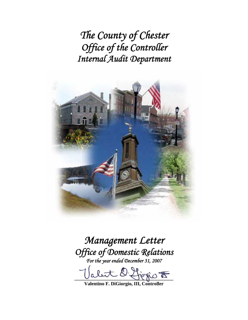*The County of Chester Office of the Controller Internal Audit Department* 



# *Management Letter Office of Domestic Relations*

*For the year ended December 31, 2007* 

 $D$  figgio  $\overline{E}$ 

**Valentino F. DiGiorgio, III, Controller**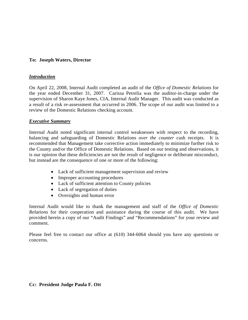## **To: Joseph Waters, Director**

#### *Introduction*

On April 22, 2008, Internal Audit completed an audit of the *Office of Domestic Relations* for the year ended December 31, 2007. Carissa Petrelia was the auditor-in-charge under the supervision of Sharon Kaye Jones, CIA, Internal Audit Manager. This audit was conducted as a result of a risk re-assessment that occurred in 2006. The scope of our audit was limited to a review of the Domestic Relations checking account.

#### *Executive Summary*

Internal Audit noted significant internal control weaknesses with respect to the recording, balancing and safeguarding of Domestic Relations *over the counter* cash receipts. It is recommended that Management take corrective action immediately to minimize further risk to the County and/or the Office of Domestic Relations. Based on our testing and observations, it is our opinion that these deficiencies are not the result of negligence or deliberate misconduct, but instead are the consequence of one or more of the following:

- Lack of sufficient management supervision and review
- Improper accounting procedures
- Lack of sufficient attention to County policies
- Lack of segregation of duties
- Oversights and human error

Internal Audit would like to thank the management and staff of the *Office of Domestic Relations* for their cooperation and assistance during the course of this audit. We have provided herein a copy of our "Audit Findings" and "Recommendations" for your review and comment.

Please feel free to contact our office at (610) 344-6064 should you have any questions or concerns.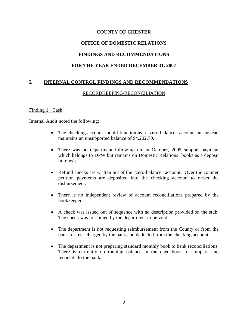# **COUNTY OF CHESTER OFFICE OF DOMESTIC RELATIONS FINDINGS AND RECOMMENDATIONS**

## **FOR THE YEAR ENDED DECEMBER 31, 2007**

## **I. INTERNAL CONTROL FINDINGS AND RECOMMENDATIONS**

#### RECORDKEEPING/RECONCILIATION

#### Finding 1: Cash

Internal Audit noted the following:

- The checking account should function as a "zero-balance" account but instead maintains an unsupported balance of \$4,202.70.
- There was no department follow-up on an October, 2005 support payment which belongs to DPW but remains on Domestic Relations' books as a deposit in transit.
- Refund checks are written out of the "zero-balance" account. Over the counter petition payments are deposited into the checking account to offset the disbursement.
- There is no independent review of account reconciliations prepared by the bookkeeper.
- A check was issued out of sequence with no description provided on the stub. The check was presumed by the department to be void.
- The department is not requesting reimbursement from the County or from the bank for fees charged by the bank and deducted from the checking account.
- The department is not preparing standard monthly book to bank reconciliations. There is currently no running balance in the checkbook to compare and reconcile to the bank.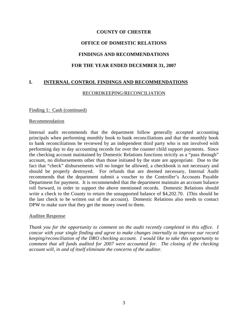# **COUNTY OF CHESTER OFFICE OF DOMESTIC RELATIONS FINDINGS AND RECOMMENDATIONS FOR THE YEAR ENDED DECEMBER 31, 2007**

#### **I. INTERNAL CONTROL FINDINGS AND RECOMMENDATIONS**

#### RECORDKEEPING/RECONCILIATION

#### Finding 1: Cash (continued)

#### Recommendation

Internal audit recommends that the department follow generally accepted accounting principals when performing monthly book to bank reconciliations and that the monthly book to bank reconciliations be reviewed by an independent third party who is not involved with performing day to day accounting records for over the counter child support payments. Since the checking account maintained by Domestic Relations functions strictly as a "pass through" account, no disbursements other than those initiated by the state are appropriate. Due to the fact that "check" disbursements will no longer be allowed, a checkbook is not necessary and should be properly destroyed. For refunds that are deemed necessary, Internal Audit recommends that the department submit a voucher to the Controller's Accounts Payable Department for payment. It is recommended that the department maintain an account balance roll forward, in order to support the above mentioned records. Domestic Relations should write a check to the County to return the unsupported balance of \$4,202.70. (This should be the last check to be written out of the account). Domestic Relations also needs to contact DPW to make sure that they get the money owed to them.

#### Auditee Response

*Thank you for the opportunity to comment on the audit recently completed in this office. I concur with your single finding and agree to make changes internally to improve our record keeping/reconciliation of the DRO checking account. I would like to take this opportunity to comment that all funds audited for 2007 were accounted for. The closing of the checking account will, in and of itself eliminate the concerns of the auditor.*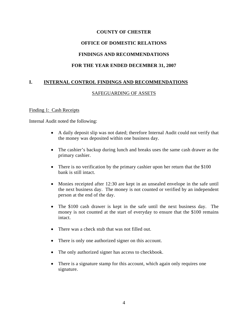# **COUNTY OF CHESTER**

#### **OFFICE OF DOMESTIC RELATIONS**

#### **FINDINGS AND RECOMMENDATIONS**

#### **FOR THE YEAR ENDED DECEMBER 31, 2007**

#### **I. INTERNAL CONTROL FINDINGS AND RECOMMENDATIONS**

#### SAFEGUARDING OF ASSETS

#### Finding 1: Cash Receipts

Internal Audit noted the following:

- A daily deposit slip was not dated; therefore Internal Audit could not verify that the money was deposited within one business day.
- The cashier's backup during lunch and breaks uses the same cash drawer as the primary cashier.
- There is no verification by the primary cashier upon her return that the \$100 bank is still intact.
- Monies receipted after 12:30 are kept in an unsealed envelope in the safe until the next business day. The money is not counted or verified by an independent person at the end of the day.
- The \$100 cash drawer is kept in the safe until the next business day. The money is not counted at the start of everyday to ensure that the \$100 remains intact.
- There was a check stub that was not filled out.
- There is only one authorized signer on this account.
- The only authorized signer has access to checkbook.
- There is a signature stamp for this account, which again only requires one signature.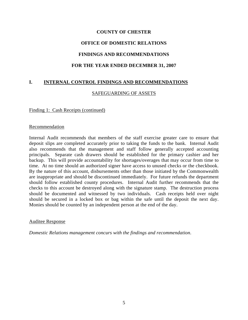# **COUNTY OF CHESTER OFFICE OF DOMESTIC RELATIONS FINDINGS AND RECOMMENDATIONS FOR THE YEAR ENDED DECEMBER 31, 2007**

## **I. INTERNAL CONTROL FINDINGS AND RECOMMENDATIONS**

#### SAFEGUARDING OF ASSETS

#### Finding 1: Cash Receipts (continued)

#### Recommendation

Internal Audit recommends that members of the staff exercise greater care to ensure that deposit slips are completed accurately prior to taking the funds to the bank. Internal Audit also recommends that the management and staff follow generally accepted accounting principals. Separate cash drawers should be established for the primary cashier and her backup. This will provide accountability for shortages/overages that may occur from time to time. At no time should an authorized signer have access to unused checks or the checkbook. By the nature of this account, disbursements other than those initiated by the Commonwealth are inappropriate and should be discontinued immediately. For future refunds the department should follow established county procedures. Internal Audit further recommends that the checks to this account be destroyed along with the signature stamp. The destruction process should be documented and witnessed by two individuals. Cash receipts held over night should be secured in a locked box or bag within the safe until the deposit the next day. Monies should be counted by an independent person at the end of the day.

#### Auditee Response

*Domestic Relations management concurs with the findings and recommendation*.